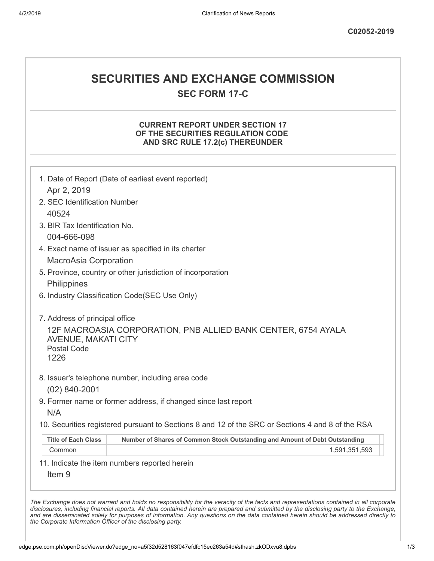# **SECURITIES AND EXCHANGE COMMISSION**

**SEC FORM 17-C**

### **CURRENT REPORT UNDER SECTION 17 OF THE SECURITIES REGULATION CODE AND SRC RULE 17.2(c) THEREUNDER**

|                                | 1. Date of Report (Date of earliest event reported)                                               |
|--------------------------------|---------------------------------------------------------------------------------------------------|
| Apr 2, 2019                    |                                                                                                   |
| 2. SEC Identification Number   |                                                                                                   |
| 40524                          |                                                                                                   |
| 3. BIR Tax Identification No.  |                                                                                                   |
| 004-666-098                    |                                                                                                   |
|                                | 4. Exact name of issuer as specified in its charter                                               |
| MacroAsia Corporation          |                                                                                                   |
|                                | 5. Province, country or other jurisdiction of incorporation                                       |
| Philippines                    |                                                                                                   |
|                                | 6. Industry Classification Code(SEC Use Only)                                                     |
| 7. Address of principal office |                                                                                                   |
|                                | 12F MACROASIA CORPORATION, PNB ALLIED BANK CENTER, 6754 AYALA                                     |
| <b>AVENUE, MAKATI CITY</b>     |                                                                                                   |
| <b>Postal Code</b><br>1226     |                                                                                                   |
|                                |                                                                                                   |
|                                | 8. Issuer's telephone number, including area code                                                 |
| $(02)$ 840-2001                |                                                                                                   |
|                                | 9. Former name or former address, if changed since last report                                    |
| N/A                            |                                                                                                   |
|                                | 10. Securities registered pursuant to Sections 8 and 12 of the SRC or Sections 4 and 8 of the RSA |
|                                | Number of Shares of Common Stock Outstanding and Amount of Debt Outstanding                       |
| <b>Title of Each Class</b>     |                                                                                                   |
| Common                         | 1,591,351,593                                                                                     |
|                                | 11. Indicate the item numbers reported herein                                                     |
| Item <sub>9</sub>              |                                                                                                   |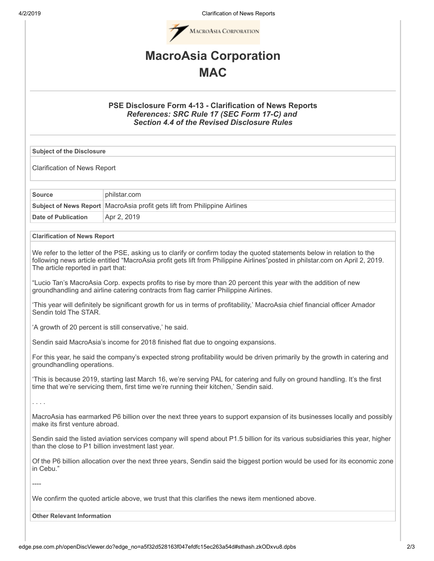4/2/2019 Clarification of News Reports



## **MacroAsia Corporation MAC**

### **PSE Disclosure Form 4-13 - Clarification of News Reports** *References: SRC Rule 17 (SEC Form 17-C) and Section 4.4 of the Revised Disclosure Rules*

**Subject of the Disclosure**

Clarification of News Report

| <b>Source</b>       | philstar.com                                                                 |
|---------------------|------------------------------------------------------------------------------|
|                     | Subject of News Report   MacroAsia profit gets lift from Philippine Airlines |
| Date of Publication | Apr 2, 2019                                                                  |

#### **Clarification of News Report**

We refer to the letter of the PSE, asking us to clarify or confirm today the quoted statements below in relation to the following news article entitled "MacroAsia profit gets lift from Philippine Airlines"posted in philstar.com on April 2, 2019. The article reported in part that:

"Lucio Tan's MacroAsia Corp. expects profits to rise by more than 20 percent this year with the addition of new groundhandling and airline catering contracts from flag carrier Philippine Airlines.

'This year will definitely be significant growth for us in terms of profitability,' MacroAsia chief financial officer Amador Sendin told The STAR.

'A growth of 20 percent is still conservative,' he said.

Sendin said MacroAsia's income for 2018 finished flat due to ongoing expansions.

For this year, he said the company's expected strong profitability would be driven primarily by the growth in catering and groundhandling operations.

'This is because 2019, starting last March 16, we're serving PAL for catering and fully on ground handling. It's the first time that we're servicing them, first time we're running their kitchen,' Sendin said.

. . . .

----

MacroAsia has earmarked P6 billion over the next three years to support expansion of its businesses locally and possibly make its first venture abroad.

Sendin said the listed aviation services company will spend about P1.5 billion for its various subsidiaries this year, higher than the close to P1 billion investment last year.

Of the P6 billion allocation over the next three years, Sendin said the biggest portion would be used for its economic zone in Cebu."

We confirm the quoted article above, we trust that this clarifies the news item mentioned above.

**Other Relevant Information**